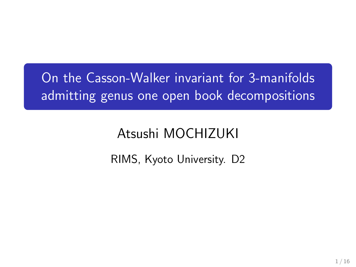# On the Casson-Walker invariant for 3-manifolds admitting genus one open book decompositions

# Atsushi MOCHIZUKI

### RIMS, Kyoto University. D2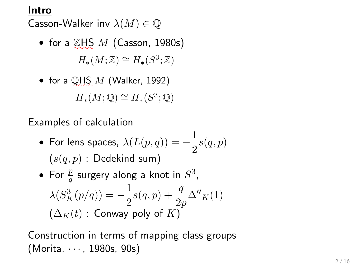#### **Intro**

Casson-Walker inv *λ*(*M*) *∈* Q

• for a  $\mathbb{Z}$ HS *M* (Casson, 1980s)  $H_*(M; \mathbb{Z}) \cong H_*(S^3; \mathbb{Z})$ 

\n- for a 
$$
\text{QHS}_{\bullet} M
$$
 (Walker, 1992)
\n- $H_*(M; \mathbb{Q}) \cong H_*(S^3; \mathbb{Q})$
\n

Examples of calculation

 $\bullet$  For lens spaces,  $\lambda(L(p,q)) = -\frac{1}{2}$  $\frac{1}{2}$ *s* $(q, p)$  $(s(q, p)$ : Dedekind sum)

\n- For 
$$
\frac{p}{q}
$$
 surgery along a knot in  $S^3$ ,  $\lambda(S_K^3(p/q)) = -\frac{1}{2}s(q, p) + \frac{q}{2p}\Delta''_K(1)$   $(\Delta_K(t) : \text{ Conway poly of } K)$
\n

Construction in terms of mapping class groups (Morita, *· · ·* , 1980s, 90s)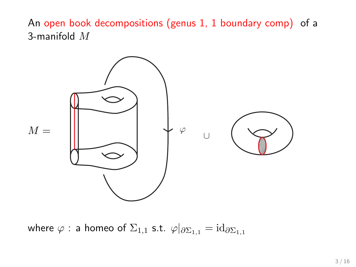An open book decompositions (genus 1, 1 boundary comp) of a 3-manifold *M*



where  $\varphi$  : a homeo of  $\Sigma_{1,1}$  s.t.  $\varphi|_{\partial \Sigma_{1,1}} = id_{\partial \Sigma_{1,1}}$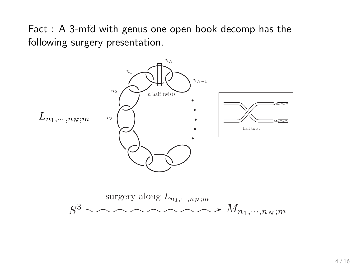Fact : A 3-mfd with genus one open book decomp has the following surgery presentation.

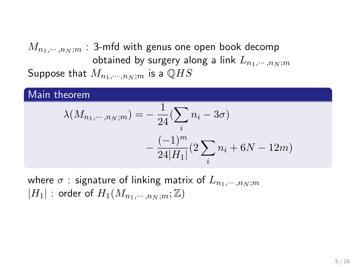$M_{n_1, \cdots, n_N; m}$  : 3-mfd with genus one open book decomp obtained by surgery along a link  $L_{n_1, \cdots, n_N; m}$ Suppose that  $M_{n_1,\cdots,n_N;m}$  is a  $\mathbb{Q}HS$ 

#### Main theorem

$$
\lambda(M_{n_1,\dots,n_N;m}) = -\frac{1}{24} (\sum_i n_i - 3\sigma) - \frac{(-1)^m}{24|H_1|} (2\sum_i n_i + 6N - 12m)
$$

where  $\sigma$  : signature of linking matrix of  $L_{n_1,\cdots,n_N;m}$  $|H_1|$  : order of  $H_1(M_{n_1, \cdots, n_N; m}; \mathbb{Z})$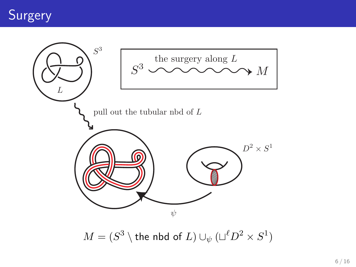

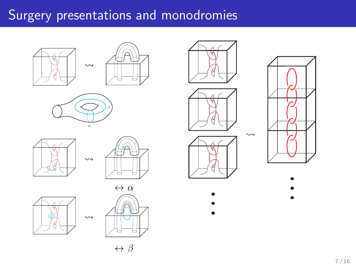# Surgery presentations and monodromies





















• • •



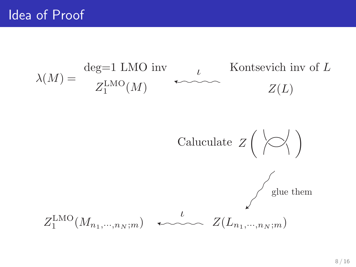$$
\lambda(M) = \begin{array}{c} \text{deg=1 LMO inv} \\ Z_1^{\text{LMO}}(M) \end{array} \longleftrightarrow \begin{array}{c} \text{Kontsevich inv of } L \\ Z(L) \end{array}
$$

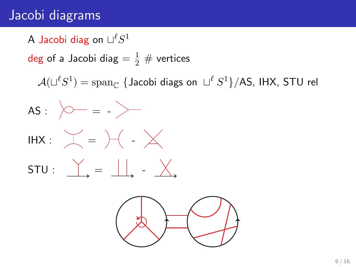## Jacobi diagrams

### $\mathsf{\mathsf{A}}$  Jacobi diag on  $\sqcup^{\ell}S^1$

deg of a Jacobi diag  $= \frac{1}{2} \#$  vertices

 $\mathcal{A}(\sqcup^{\ell}S^{1}) = \mathrm{span}_{\mathbb{C}} \ \{ \text{Jacobi \; \text{diags \; on } \; \sqcup^{\ell}S^{1} \} / \text{AS}, \ \text{IHX}, \ \text{STU \; rel}$ 



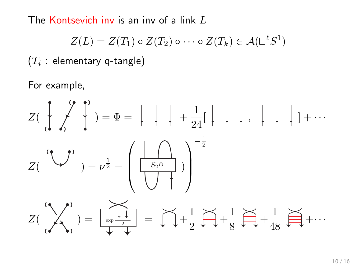The Kontsevich inv is an inv of a link *L*

$$
Z(L) = Z(T_1) \circ Z(T_2) \circ \cdots \circ Z(T_k) \in \mathcal{A}(\sqcup^{\ell} S^1)
$$

 $\left( T_i \, : \, \textsf{elementary}\; \textsf{q-tangle} \right)$ 

For example,

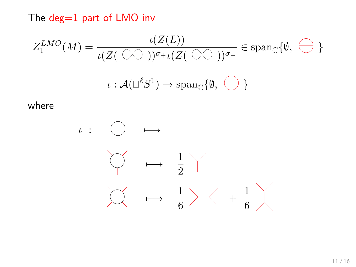The deg=1 part of LMO inv

$$
Z_1^{LMO}(M) = \frac{\iota(Z(L))}{\iota(Z(\bigcirc\bigcirc))^{\sigma_+\iota(Z(\bigcirc\bigcirc))^{\sigma_-}} \in \text{span}_{\mathbb{C}}\{\emptyset, \bigcirc\}
$$

$$
\iota: \mathcal{A}(\sqcup^{\ell}S^1) \to \text{span}_{\mathbb{C}}\{\emptyset, \bigcirc\}
$$

where

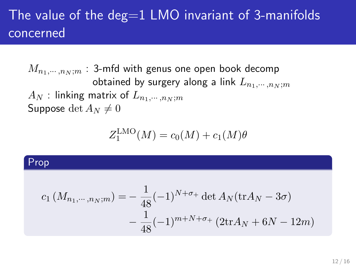## The value of the deg $=1$  LMO invariant of 3-manifolds concerned

 $M_{n_1, \cdots, n_N; m}$  : 3-mfd with genus one open book decomp obtained by surgery along a link  $L_{n_1,\dots,n_N;m}$  $A_N$  : linking matrix of  $L_{n_1,\dots,n_N;m}$ Suppose det  $A_N \neq 0$ 

$$
Z_1^{\text{LMO}}(M) = c_0(M) + c_1(M)\theta
$$

#### Prop

$$
c_1\left(M_{n_1,\dots,n_N;m}\right) = -\frac{1}{48}(-1)^{N+\sigma_+} \det A_N(\text{tr}A_N - 3\sigma)
$$

$$
-\frac{1}{48}(-1)^{m+N+\sigma_+} \left(2\text{tr}A_N + 6N - 12m\right)
$$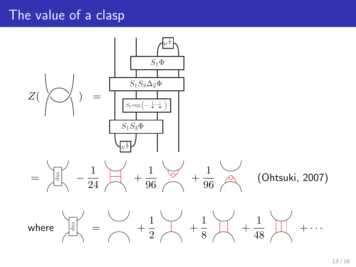## The value of a clasp

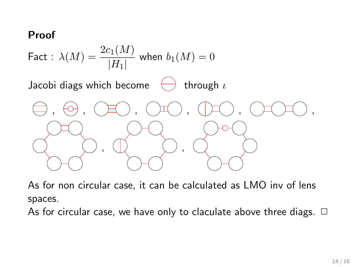#### **Proof**



As for non circular case, it can be calculated as LMO inv of lens spaces.

As for circular case, we have only to claculate above three diags.  $\Box$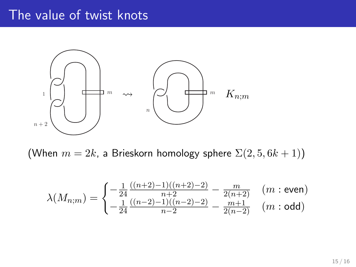### The value of twist knots



(When  $m = 2k$ , a Brieskorn homology sphere  $\Sigma(2,5,6k+1)$ )

$$
\lambda(M_{n;m}) = \begin{cases}\n-\frac{1}{24} \frac{((n+2)-1)((n+2)-2)}{n+2} - \frac{m}{2(n+2)} & (m:\text{even}) \\
-\frac{1}{24} \frac{((n-2)-1)((n-2)-2)}{n-2} - \frac{m+1}{2(n-2)} & (m:\text{odd})\n\end{cases}
$$